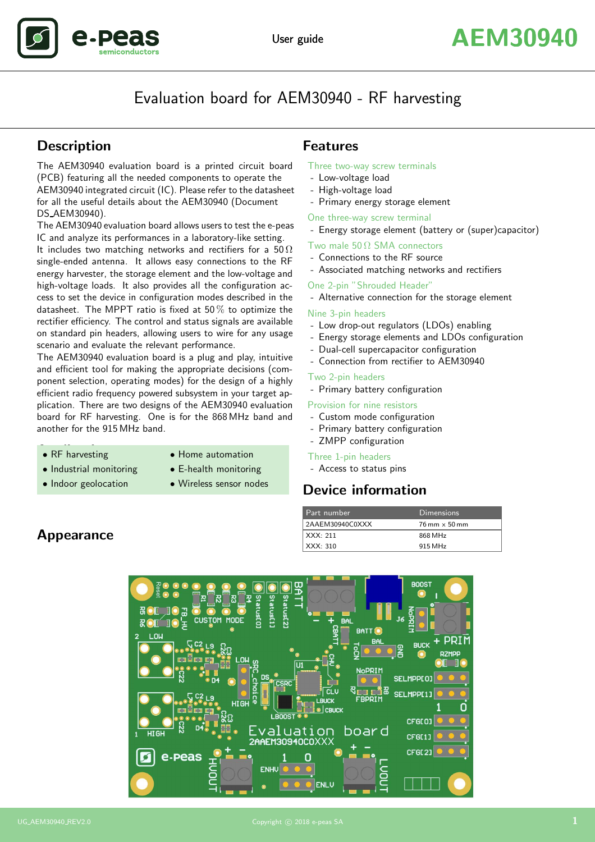# Evaluation board for AEM30940 - RF harvesting

# **Description**

.Dea

The AEM30940 evaluation board is a printed circuit board (PCB) featuring all the needed components to operate the AEM30940 integrated circuit (IC). Please refer to the datasheet for all the useful details about the AEM30940 (Document DS AEM30940).

The AEM30940 evaluation board allows users to test the e-peas IC and analyze its performances in a laboratory-like setting.

It includes two matching networks and rectifiers for a 50  $\Omega$ single-ended antenna. It allows easy connections to the RF energy harvester, the storage element and the low-voltage and high-voltage loads. It also provides all the configuration access to set the device in configuration modes described in the datasheet. The MPPT ratio is fixed at 50 % to optimize the rectifier efficiency. The control and status signals are available on standard pin headers, allowing users to wire for any usage scenario and evaluate the relevant performance.

The AEM30940 evaluation board is a plug and play, intuitive and efficient tool for making the appropriate decisions (component selection, operating modes) for the design of a highly efficient radio frequency powered subsystem in your target application. There are two designs of the AEM30940 evaluation board for RF harvesting. One is for the 868 MHz band and another for the 915 MHz band.

- 
- RF harvesting Home automation
- Industrial monitoring E-health monitoring
- Indoor geolocation Wireless sensor nodes

# Features

#### Three two-way screw terminals

- Low-voltage load
- High-voltage load
- Primary energy storage element

One three-way screw terminal

- Energy storage element (battery or (super)capacitor)

Two male  $50 \Omega$  SMA connectors

- Connections to the RF source
- Associated matching networks and rectifiers

One 2-pin "Shrouded Header"

- Alternative connection for the storage element

#### Nine 3-pin headers

- Low drop-out regulators (LDOs) enabling
- Energy storage elements and LDOs configuration
- Dual-cell supercapacitor configuration
- Connection from rectifier to AEM30940

#### Two 2-pin headers

- Primary battery configuration

#### Provision for nine resistors

- Custom mode configuration
- Primary battery configuration
- ZMPP configuration

#### Three 1-pin headers

- Access to status pins

# Device information

| Part number      | <b>Dimensions</b>                    |
|------------------|--------------------------------------|
| 2AAEM30940C0XXX  | $76 \text{ mm} \times 50 \text{ mm}$ |
| $\vert$ XXX: 211 | 868 MHz                              |
| $\vert$ XXX: 310 | 915 MHz                              |



# Appearance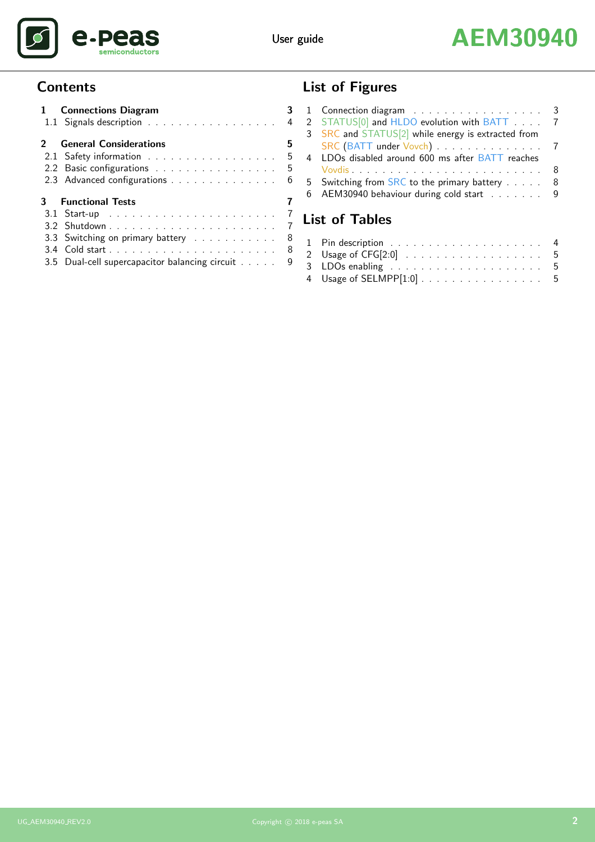



# **Contents**

| 1 Connections Diagram                          | 3   |
|------------------------------------------------|-----|
| 1.1 Signals description 4                      |     |
| 2 General Considerations                       | 5   |
| 2.1 Safety information                         | - 5 |
| 2.2 Basic configurations                       | - 5 |
| 2.3 Advanced configurations                    | - 6 |
| <b>3</b> Functional Tests                      | 7   |
|                                                | -7  |
|                                                | -7  |
| 3.3 Switching on primary battery 8             |     |
|                                                |     |
| 3.5 Dual-cell supercapacitor balancing circuit | 9   |

# List of Figures

|                       | 1 Connection diagram 3                             |     |  |  |
|-----------------------|----------------------------------------------------|-----|--|--|
|                       | 2 STATUS[0] and HLDO evolution with BATT 7         |     |  |  |
|                       | 3 SRC and STATUS[2] while energy is extracted from |     |  |  |
|                       | SRC (BATT under Vovch) 7                           |     |  |  |
|                       | 4 LDOs disabled around 600 ms after BATT reaches   |     |  |  |
|                       |                                                    | - 8 |  |  |
|                       | 5 Switching from SRC to the primary battery        | 8   |  |  |
|                       | 6 AEM30940 behaviour during cold start 9           |     |  |  |
|                       |                                                    |     |  |  |
| <b>List of Tables</b> |                                                    |     |  |  |

| 4 Usage of SELMPP[1:0] 5 |  |
|--------------------------|--|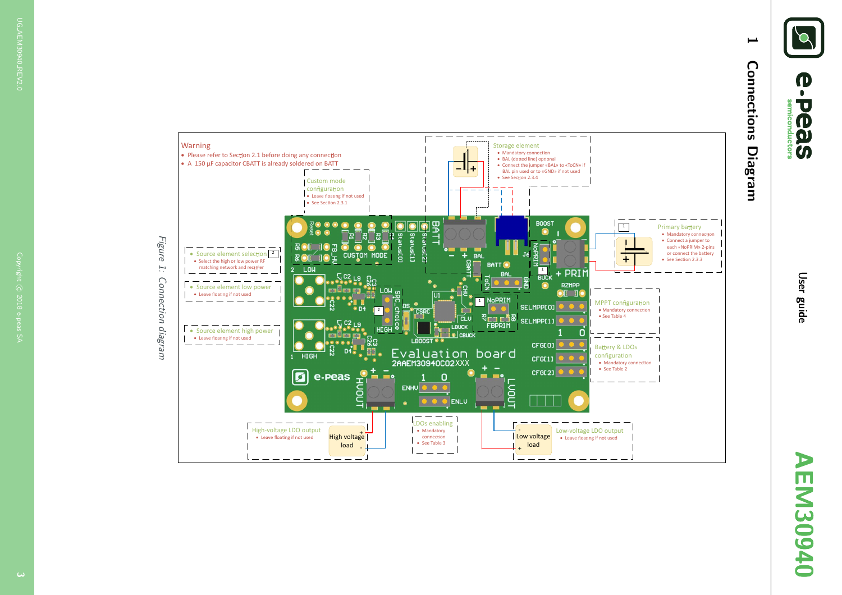**(1)**  $\overline{\mathbf{U}}$ semiconductors **OBS** 

AEM30940 EM30940

<span id="page-2-1"></span><span id="page-2-0"></span>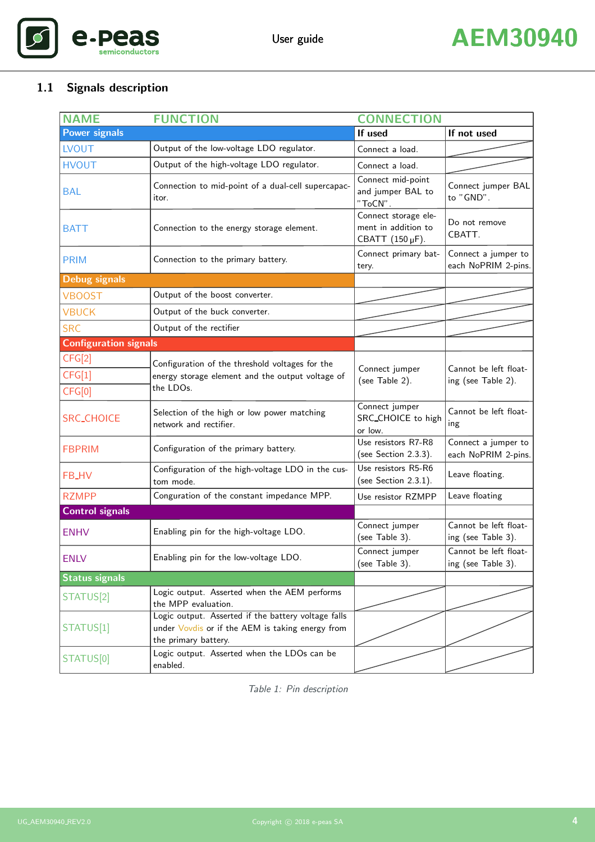

# <span id="page-3-1"></span><span id="page-3-0"></span>1.1 Signals description

| <b>NAME</b>                  | <b>FUNCTION</b>                                                                                                                 | <b>CONNECTION</b>                                              |                                             |  |
|------------------------------|---------------------------------------------------------------------------------------------------------------------------------|----------------------------------------------------------------|---------------------------------------------|--|
| <b>Power signals</b>         |                                                                                                                                 | If used                                                        | If not used                                 |  |
| <b>LVOUT</b>                 | Output of the low-voltage LDO regulator.                                                                                        | Connect a load.                                                |                                             |  |
| <b>HVOUT</b>                 | Output of the high-voltage LDO regulator.                                                                                       | Connect a load.                                                |                                             |  |
| <b>BAL</b>                   | Connection to mid-point of a dual-cell supercapac-<br>itor.                                                                     | Connect mid-point<br>and jumper BAL to<br>$"$ ToCN".           | Connect jumper BAL<br>to "GND".             |  |
| <b>BATT</b>                  | Connection to the energy storage element.                                                                                       | Connect storage ele-<br>ment in addition to<br>CBATT (150 µF). | Do not remove<br>CBATT.                     |  |
| <b>PRIM</b>                  | Connection to the primary battery.                                                                                              | Connect primary bat-<br>tery.                                  | Connect a jumper to<br>each NoPRIM 2-pins.  |  |
| <b>Debug signals</b>         |                                                                                                                                 |                                                                |                                             |  |
| <b>VBOOST</b>                | Output of the boost converter.                                                                                                  |                                                                |                                             |  |
| <b>VBUCK</b>                 | Output of the buck converter.                                                                                                   |                                                                |                                             |  |
| <b>SRC</b>                   | Output of the rectifier                                                                                                         |                                                                |                                             |  |
| <b>Configuration signals</b> |                                                                                                                                 |                                                                |                                             |  |
| CFG[2]                       | Configuration of the threshold voltages for the                                                                                 |                                                                |                                             |  |
| CFG[1]                       | energy storage element and the output voltage of                                                                                | Connect jumper                                                 | Cannot be left float-                       |  |
| CFG[0]                       | the LDOs.                                                                                                                       | (see Table 2).                                                 | ing (see Table 2).                          |  |
| <b>SRC_CHOICE</b>            | Selection of the high or low power matching<br>network and rectifier.                                                           | Connect jumper<br>SRC_CHOICE to high<br>or low.                | Cannot be left float-<br>ing                |  |
| <b>FBPRIM</b>                | Configuration of the primary battery.                                                                                           | Use resistors R7-R8<br>(see Section 2.3.3).                    | Connect a jumper to<br>each NoPRIM 2-pins.  |  |
| FB_HV                        | Configuration of the high-voltage LDO in the cus-<br>tom mode.                                                                  | Use resistors R5-R6<br>(see Section 2.3.1).                    | Leave floating.                             |  |
| <b>RZMPP</b>                 | Conguration of the constant impedance MPP.                                                                                      | Use resistor RZMPP                                             | Leave floating                              |  |
| <b>Control signals</b>       |                                                                                                                                 |                                                                |                                             |  |
| <b>ENHV</b>                  | Enabling pin for the high-voltage LDO.                                                                                          | Connect jumper<br>(see Table 3).                               | Cannot be left float-<br>ing (see Table 3). |  |
| <b>ENLV</b>                  | Enabling pin for the low-voltage LDO.                                                                                           | Connect jumper<br>(see Table 3).                               | Cannot be left float-<br>ing (see Table 3). |  |
| <b>Status signals</b>        |                                                                                                                                 |                                                                |                                             |  |
| STATUS[2]                    | Logic output. Asserted when the AEM performs<br>the MPP evaluation.                                                             |                                                                |                                             |  |
| STATUS[1]                    | Logic output. Asserted if the battery voltage falls<br>under Vovdis or if the AEM is taking energy from<br>the primary battery. |                                                                |                                             |  |
| STATUS[0]                    | Logic output. Asserted when the LDOs can be<br>enabled.                                                                         |                                                                |                                             |  |

Table 1: Pin description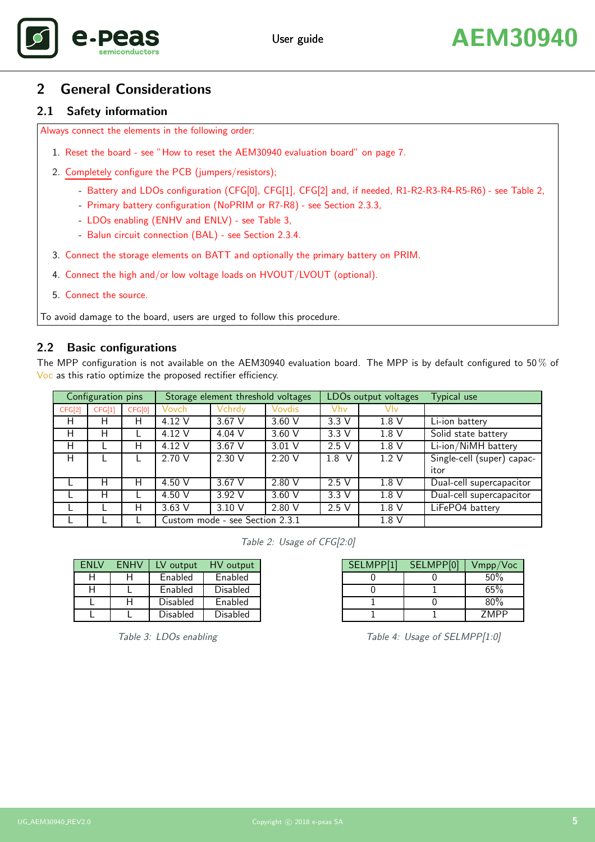

# <span id="page-4-0"></span>2 General Considerations

### <span id="page-4-1"></span>2.1 Safety information

Always connect the elements in the following order:

- 1. Reset the board see ["How to reset the AEM30940 evaluation board"](#page-5-3) on page [7.](#page-6-5)
- 2. Completely configure the PCB (jumpers/resistors);
	- Battery and LDOs configuration (CFG[0], CFG[1], CFG[2] and, if needed, R1-R2-R3-R4-R5-R6) see [Table 2,](#page-4-3)
	- Primary battery configuration (NoPRIM or R7-R8) see Section [2.3.3,](#page-5-1)
	- LDOs enabling (ENHV and ENLV) see [Table 3,](#page-4-4)
	- Balun circuit connection (BAL) see Section [2.3.4.](#page-5-3)
- 3. Connect the storage elements on BATT and optionally the primary battery on PRIM.
- 4. Connect the high and/or low voltage loads on HVOUT/LVOUT (optional).
- 5. Connect the source.

To avoid damage to the board, users are urged to follow this procedure.

## <span id="page-4-2"></span>2.2 Basic configurations

The MPP configuration is not available on the AEM30940 evaluation board. The MPP is by default configured to 50 % of Voc as this ratio optimize the proposed rectifier efficiency.

| Configuration pins |        | Storage element threshold voltages |                                 | LDOs output voltages |          | Typical use |       |                            |
|--------------------|--------|------------------------------------|---------------------------------|----------------------|----------|-------------|-------|----------------------------|
| CFG[2]             | CFG[1] | CFG[0]                             | Vovch                           | Vchrdy               | Vovdis   | Vhv         | Vlv   |                            |
| H                  | н      | н                                  | 4.12 V                          | $3.67$ V             | $3.60$ V | 3.3V        | 1.8V  | Li-ion battery             |
| Н                  | н      |                                    | 4.12 V                          | 4.04 V               | $3.60$ V | 3.3V        | 1.8V  | Solid state battery        |
| н                  |        | н                                  | 4.12 V                          | 3.67 V               | $3.01$ V | 2.5V        | 1.8 V | Li-ion/NiMH battery        |
| Н                  |        |                                    | 2.70 V                          | 2.30 V               | 2.20 V   | 1.8<br>V    | 1.2V  | Single-cell (super) capac- |
|                    |        |                                    |                                 |                      |          |             |       | itor                       |
|                    | н      | Н                                  | 4.50 V                          | 3.67 V               | 2.80V    | 2.5V        | 1.8V  | Dual-cell supercapacitor   |
|                    | н      |                                    | 4.50 V                          | 3.92 V               | 3.60V    | 3.3V        | 1.8V  | Dual-cell supercapacitor   |
|                    |        | н                                  | $3.63$ V                        | 3.10 V               | 2.80 V   | 2.5V        | 1.8 V | LiFePO4 battery            |
|                    |        |                                    | Custom mode - see Section 2.3.1 |                      |          | 1.8 V       |       |                            |

<span id="page-4-3"></span>Table 2: Usage of CFG[2:0]

| <b>FNIV</b> | <b>FNHV</b> | LV output | HV output |
|-------------|-------------|-----------|-----------|
| н           |             | Enabled   | Enabled   |
| H           |             | Enabled   | Disabled  |
|             |             | Disabled  | Enabled   |
|             |             | Disabled  | Disabled  |

<span id="page-4-4"></span>Table 3: LDOs enabling

<span id="page-4-5"></span>Table 4: Usage of SELMPP[1:0]

SELMPP[1] | SELMPP[0] | Vmpp/Voc  $0 \t 0 \t 50\%$  $0 \t 1 \t 65\%$ 1 0 80% 1 1 | ZMPP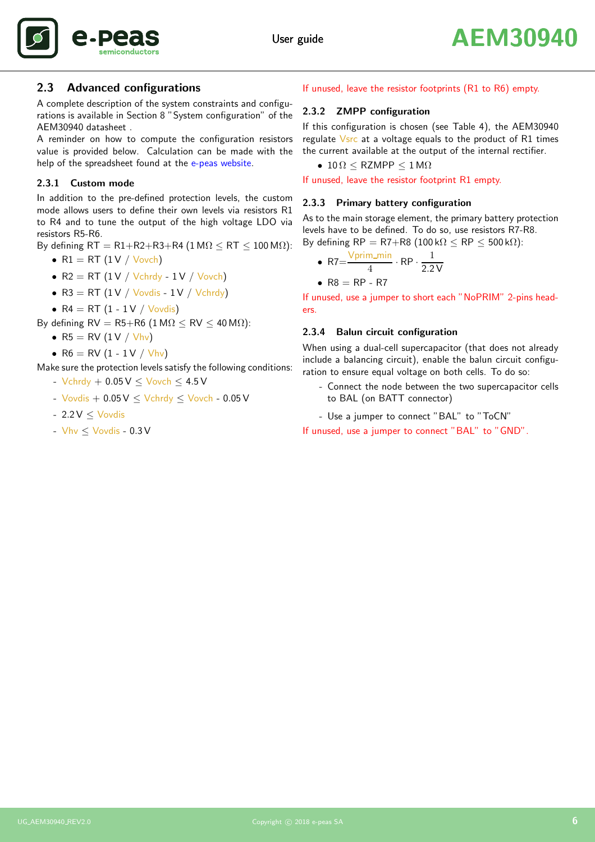



### <span id="page-5-0"></span>2.3 Advanced configurations

A complete description of the system constraints and configurations is available in Section 8 "System configuration" of the AEM30940 datasheet .

A reminder on how to compute the configuration resistors value is provided below. Calculation can be made with the help of the spreadsheet found at the [e-peas website.](https://www.e-peas.com)

#### <span id="page-5-2"></span>2.3.1 Custom mode

In addition to the pre-defined protection levels, the custom mode allows users to define their own levels via resistors R1 to R4 and to tune the output of the high voltage LDO via resistors R5-R6.

By defining  $RT = R1 + R2 + R3 + R4$  (1 M $\Omega$  < RT < 100 M $\Omega$ ):

- $R1 = RT (1 V / Vovch)$
- $R2 = RT (1 V / Vchrdy 1 V / Vovch)$
- $R3 = RT (1 V / Vovdis 1 V / Vchrdy)$
- $R4 = RT (1 1 V / Vovdis)$

By defining  $RV = R5+R6$  (1 M $\Omega$  < RV < 40 M $\Omega$ ):

- $R5 = RV (1 V / Vhv)$
- $R6 = RV (1 1 V / V)$

Make sure the protection levels satisfy the following conditions:

- $-$  Vchrdy  $+$  0.05  $V \le$  Vovch  $\le$  4.5 V
- $-$  Vovdis  $+$  0.05 V  $<$  Vchrdy  $<$  Vovch  $-$  0.05 V
- $-2.2 V < V$ ovdis
- $-$  Vhv  $\leq$  Vovdis 0.3 V

#### If unused, leave the resistor footprints (R1 to R6) empty.

#### 2.3.2 ZMPP configuration

If this configuration is chosen (see [Table 4\)](#page-4-5), the AEM30940 regulate  $V$ src at a voltage equals to the product of R1 times the current available at the output of the internal rectifier.

•  $10 \Omega \leq RZMPP \leq 1 M\Omega$ 

<span id="page-5-1"></span>If unused, leave the resistor footprint R1 empty.

#### 2.3.3 Primary battery configuration

As to the main storage element, the primary battery protection levels have to be defined. To do so, use resistors R7-R8. By defining  $RP = R7 + R8$  (100 k $\Omega$  < RP < 500 k $\Omega$ ):

• 
$$
R7 = \frac{V \text{prim\_min}}{4} \cdot RP \cdot \frac{1}{2.2 V}
$$

$$
\bullet \ \mathsf{R8} = \mathsf{RP} - \mathsf{R7}
$$

If unused, use a jumper to short each "NoPRIM" 2-pins headers.

#### <span id="page-5-3"></span>2.3.4 Balun circuit configuration

When using a dual-cell supercapacitor (that does not already include a balancing circuit), enable the balun circuit configuration to ensure equal voltage on both cells. To do so:

- Connect the node between the two supercapacitor cells to BAL (on BATT connector)
- Use a jumper to connect "BAL" to "ToCN"

If unused, use a jumper to connect "BAL" to "GND".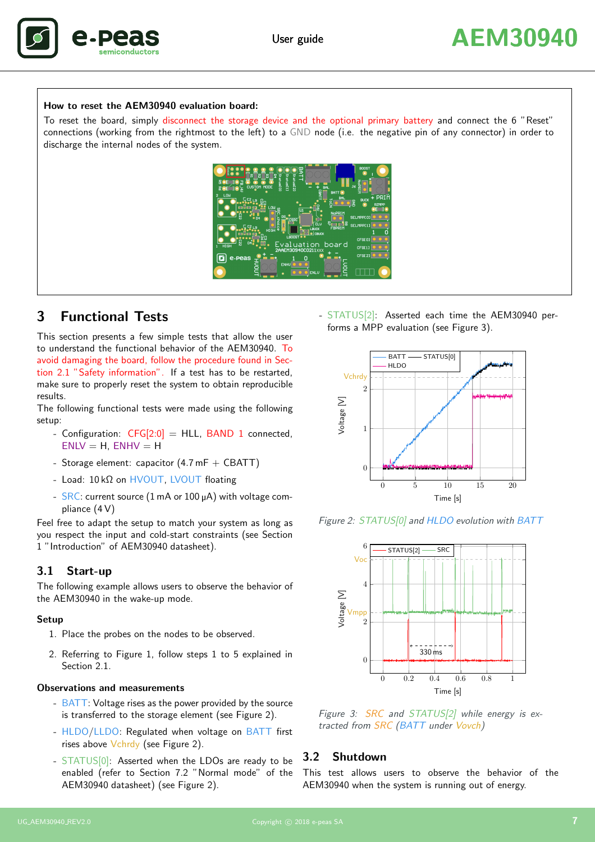

#### How to reset the AEM30940 evaluation board:

<span id="page-6-5"></span>To reset the board, simply disconnect the storage device and the optional primary battery and connect the 6 "Reset" connections (working from the rightmost to the left) to a GND node (i.e. the negative pin of any connector) in order to discharge the internal nodes of the system.



# <span id="page-6-0"></span>3 Functional Tests

This section presents a few simple tests that allow the user to understand the functional behavior of the AEM30940. To avoid damaging the board, follow the procedure found in Section [2.1](#page-4-1) "Safety information". If a test has to be restarted, make sure to properly reset the system to obtain reproducible results.

The following functional tests were made using the following setup:

- Configuration:  $CFG[2:0] = HLL$ , BAND 1 connected,  $ENLV = H$ ,  $ENHV = H$
- Storage element: capacitor  $(4.7 \text{ mF} + \text{CBATT})$
- Load: 10 kΩ on HVOUT, LVOUT floating
- SRC: current source (1 mA or 100 µA) with voltage compliance (4 V)

Feel free to adapt the setup to match your system as long as you respect the input and cold-start constraints (see Section 1 "Introduction" of AEM30940 datasheet).

#### <span id="page-6-1"></span>3.1 Start-up

The following example allows users to observe the behavior of the AEM30940 in the wake-up mode.

#### Setup

- 1. Place the probes on the nodes to be observed.
- 2. Referring to [Figure 1,](#page-2-1) follow steps 1 to 5 explained in Section 2.1

#### Observations and measurements

- BATT: Voltage rises as the power provided by the source is transferred to the storage element (see [Figure 2\)](#page-6-3).
- HLDO/LLDO: Regulated when voltage on BATT first rises above Vchrdy (see [Figure 2\)](#page-6-3).
- STATUS[0]: Asserted when the LDOs are ready to be enabled (refer to Section 7.2 "Normal mode" of the AEM30940 datasheet) (see [Figure 2\)](#page-6-3).

- STATUS[2]: Asserted each time the AEM30940 performs a MPP evaluation (see [Figure 3\)](#page-6-4).



Figure 2: STATUS[0] and HLDO evolution with BATT

<span id="page-6-3"></span>

<span id="page-6-4"></span>Figure 3: SRC and STATUS[2] while energy is extracted from SRC (BATT under Vovch)

#### <span id="page-6-2"></span>3.2 Shutdown

This test allows users to observe the behavior of the AEM30940 when the system is running out of energy.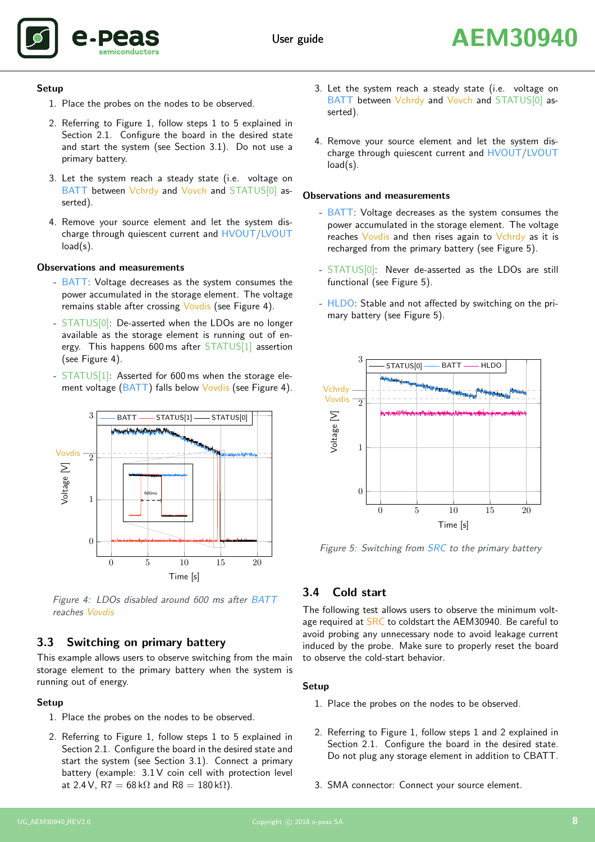

#### Setup

- 1. Place the probes on the nodes to be observed.
- 2. Referring to [Figure 1,](#page-2-1) follow steps 1 to 5 explained in Section [2.1.](#page-4-1) Configure the board in the desired state and start the system (see Section [3.1\)](#page-6-1). Do not use a primary battery.
- 3. Let the system reach a steady state (i.e. voltage on BATT between Vchrdy and Vovch and STATUS[0] asserted).
- 4. Remove your source element and let the system discharge through quiescent current and HVOUT/LVOUT load(s).

### Observations and measurements

- BATT: Voltage decreases as the system consumes the power accumulated in the storage element. The voltage remains stable after crossing Vovdis (see [Figure 4\)](#page-7-2).
- STATUS[0]: De-asserted when the LDOs are no longer available as the storage element is running out of energy. This happens 600 ms after STATUS[1] assertion (see [Figure 4\)](#page-7-2).
- STATUS[1]: Asserted for 600 ms when the storage ele-ment voltage (BATT) falls below Vovdis (see [Figure 4\)](#page-7-2).



<span id="page-7-2"></span>Figure 4: LDOs disabled around 600 ms after BATT reaches Vovdis

# <span id="page-7-0"></span>3.3 Switching on primary battery

This example allows users to observe switching from the main storage element to the primary battery when the system is running out of energy.

## Setup

- 1. Place the probes on the nodes to be observed.
- 2. Referring to [Figure 1,](#page-2-1) follow steps 1 to 5 explained in Section [2.1.](#page-4-1) Configure the board in the desired state and start the system (see Section [3.1\)](#page-6-1). Connect a primary battery (example: 3.1 V coin cell with protection level at 2.4 V, R7 =  $68 \text{ k}\Omega$  and R8 =  $180 \text{ k}\Omega$ ).
- 3. Let the system reach a steady state (i.e. voltage on BATT between Vchrdy and Vovch and STATUS[0] asserted).
- 4. Remove your source element and let the system discharge through quiescent current and HVOUT/LVOUT load(s).

### Observations and measurements

- BATT: Voltage decreases as the system consumes the power accumulated in the storage element. The voltage reaches Vovdis and then rises again to Vchrdy as it is recharged from the primary battery (see [Figure 5\)](#page-7-3).
- STATUS[0]: Never de-asserted as the LDOs are still functional (see [Figure 5\)](#page-7-3).
- HLDO: Stable and not affected by switching on the primary battery (see [Figure 5\)](#page-7-3).



<span id="page-7-3"></span>Figure 5: Switching from SRC to the primary battery

# <span id="page-7-1"></span>3.4 Cold start

The following test allows users to observe the minimum voltage required at SRC to coldstart the AEM30940. Be careful to avoid probing any unnecessary node to avoid leakage current induced by the probe. Make sure to properly reset the board to observe the cold-start behavior.

#### Setup

- 1. Place the probes on the nodes to be observed.
- 2. Referring to [Figure 1,](#page-2-1) follow steps 1 and 2 explained in Section [2.1.](#page-4-1) Configure the board in the desired state. Do not plug any storage element in addition to CBATT.
- 3. SMA connector: Connect your source element.